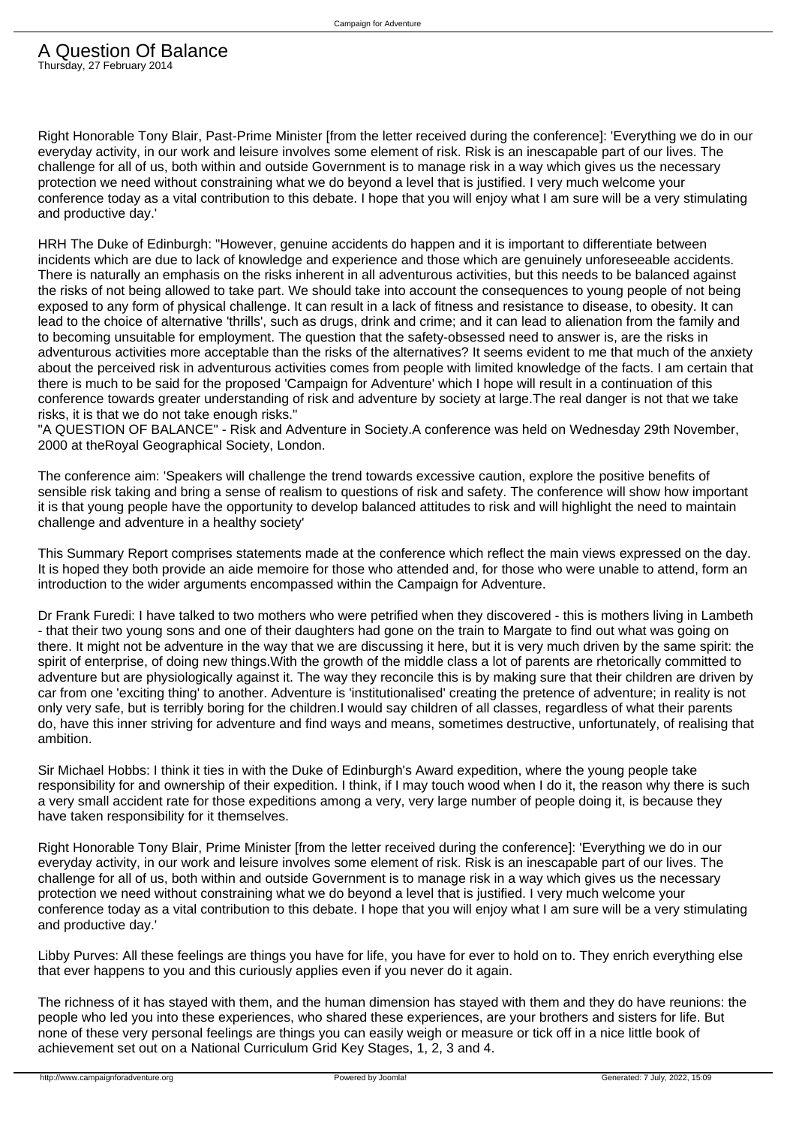Right Honorable Tony Blair, Past-Prime Minister [from the letter received during the conference]: 'Everything we do in our everyday activity, in our work and leisure involves some element of risk. Risk is an inescapable part of our lives. The challenge for all of us, both within and outside Government is to manage risk in a way which gives us the necessary protection we need without constraining what we do beyond a level that is justified. I very much welcome your conference today as a vital contribution to this debate. I hope that you will enjoy what I am sure will be a very stimulating and productive day.'

HRH The Duke of Edinburgh: "However, genuine accidents do happen and it is important to differentiate between incidents which are due to lack of knowledge and experience and those which are genuinely unforeseeable accidents. There is naturally an emphasis on the risks inherent in all adventurous activities, but this needs to be balanced against the risks of not being allowed to take part. We should take into account the consequences to young people of not being exposed to any form of physical challenge. It can result in a lack of fitness and resistance to disease, to obesity. It can lead to the choice of alternative 'thrills', such as drugs, drink and crime; and it can lead to alienation from the family and to becoming unsuitable for employment. The question that the safety-obsessed need to answer is, are the risks in adventurous activities more acceptable than the risks of the alternatives? It seems evident to me that much of the anxiety about the perceived risk in adventurous activities comes from people with limited knowledge of the facts. I am certain that there is much to be said for the proposed 'Campaign for Adventure' which I hope will result in a continuation of this conference towards greater understanding of risk and adventure by society at large.The real danger is not that we take risks, it is that we do not take enough risks."

"A QUESTION OF BALANCE" - Risk and Adventure in Society.A conference was held on Wednesday 29th November, 2000 at theRoyal Geographical Society, London.

The conference aim: 'Speakers will challenge the trend towards excessive caution, explore the positive benefits of sensible risk taking and bring a sense of realism to questions of risk and safety. The conference will show how important it is that young people have the opportunity to develop balanced attitudes to risk and will highlight the need to maintain challenge and adventure in a healthy society'

This Summary Report comprises statements made at the conference which reflect the main views expressed on the day. It is hoped they both provide an aide memoire for those who attended and, for those who were unable to attend, form an introduction to the wider arguments encompassed within the Campaign for Adventure.

Dr Frank Furedi: I have talked to two mothers who were petrified when they discovered - this is mothers living in Lambeth - that their two young sons and one of their daughters had gone on the train to Margate to find out what was going on there. It might not be adventure in the way that we are discussing it here, but it is very much driven by the same spirit: the spirit of enterprise, of doing new things.With the growth of the middle class a lot of parents are rhetorically committed to adventure but are physiologically against it. The way they reconcile this is by making sure that their children are driven by car from one 'exciting thing' to another. Adventure is 'institutionalised' creating the pretence of adventure; in reality is not only very safe, but is terribly boring for the children.I would say children of all classes, regardless of what their parents do, have this inner striving for adventure and find ways and means, sometimes destructive, unfortunately, of realising that ambition.

Sir Michael Hobbs: I think it ties in with the Duke of Edinburgh's Award expedition, where the young people take responsibility for and ownership of their expedition. I think, if I may touch wood when I do it, the reason why there is such a very small accident rate for those expeditions among a very, very large number of people doing it, is because they have taken responsibility for it themselves.

Right Honorable Tony Blair, Prime Minister [from the letter received during the conference]: 'Everything we do in our everyday activity, in our work and leisure involves some element of risk. Risk is an inescapable part of our lives. The challenge for all of us, both within and outside Government is to manage risk in a way which gives us the necessary protection we need without constraining what we do beyond a level that is justified. I very much welcome your conference today as a vital contribution to this debate. I hope that you will enjoy what I am sure will be a very stimulating and productive day.'

Libby Purves: All these feelings are things you have for life, you have for ever to hold on to. They enrich everything else that ever happens to you and this curiously applies even if you never do it again.

The richness of it has stayed with them, and the human dimension has stayed with them and they do have reunions: the people who led you into these experiences, who shared these experiences, are your brothers and sisters for life. But none of these very personal feelings are things you can easily weigh or measure or tick off in a nice little book of achievement set out on a National Curriculum Grid Key Stages, 1, 2, 3 and 4.